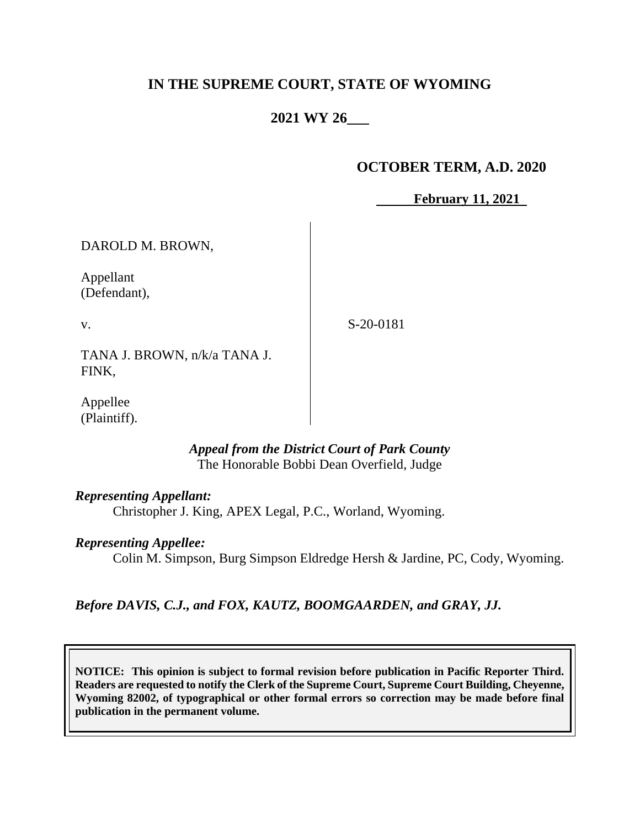# **IN THE SUPREME COURT, STATE OF WYOMING**

# **2021 WY 26\_\_\_**

### **OCTOBER TERM, A.D. 2020**

**February 11, 2021** 

DAROLD M. BROWN,

Appellant (Defendant),

v.

S-20-0181

TANA J. BROWN, n/k/a TANA J. FINK,

Appellee (Plaintiff).

## *Appeal from the District Court of Park County* The Honorable Bobbi Dean Overfield, Judge

### *Representing Appellant:*

Christopher J. King, APEX Legal, P.C., Worland, Wyoming.

#### *Representing Appellee:*

Colin M. Simpson, Burg Simpson Eldredge Hersh & Jardine, PC, Cody, Wyoming.

### *Before DAVIS, C.J., and FOX, KAUTZ, BOOMGAARDEN, and GRAY, JJ.*

**NOTICE: This opinion is subject to formal revision before publication in Pacific Reporter Third. Readers are requested to notify the Clerk of the Supreme Court, Supreme Court Building, Cheyenne, Wyoming 82002, of typographical or other formal errors so correction may be made before final publication in the permanent volume.**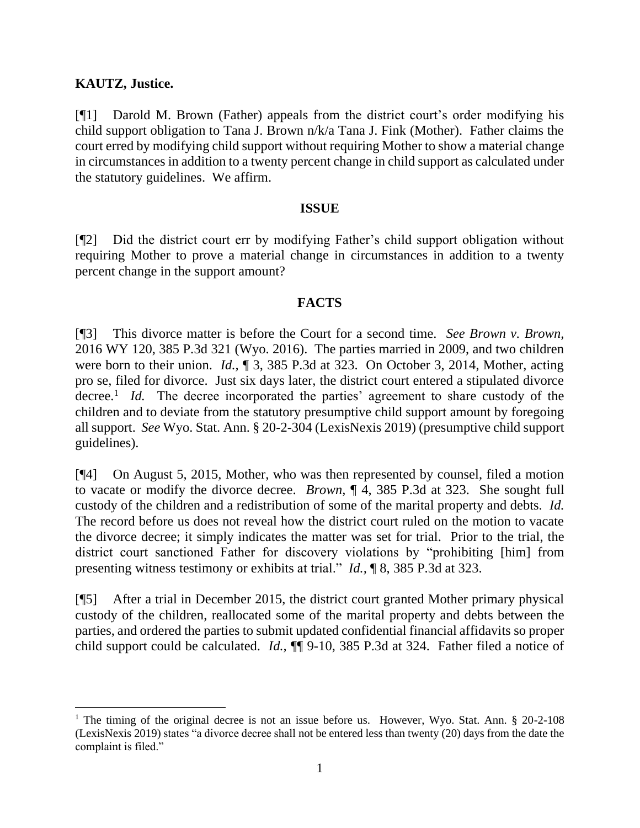## **KAUTZ, Justice.**

[¶1] Darold M. Brown (Father) appeals from the district court's order modifying his child support obligation to Tana J. Brown n/k/a Tana J. Fink (Mother). Father claims the court erred by modifying child support without requiring Mother to show a material change in circumstances in addition to a twenty percent change in child support as calculated under the statutory guidelines. We affirm.

### **ISSUE**

[¶2] Did the district court err by modifying Father's child support obligation without requiring Mother to prove a material change in circumstances in addition to a twenty percent change in the support amount?

## **FACTS**

[¶3] This divorce matter is before the Court for a second time. *See Brown v. Brown,*  2016 WY 120, 385 P.3d 321 (Wyo. 2016). The parties married in 2009, and two children were born to their union. *Id.,* ¶ 3, 385 P.3d at 323. On October 3, 2014, Mother, acting pro se, filed for divorce. Just six days later, the district court entered a stipulated divorce decree.<sup>1</sup> *Id.* The decree incorporated the parties' agreement to share custody of the children and to deviate from the statutory presumptive child support amount by foregoing all support. *See* Wyo. Stat. Ann. § 20-2-304 (LexisNexis 2019) (presumptive child support guidelines).

[¶4] On August 5, 2015, Mother, who was then represented by counsel, filed a motion to vacate or modify the divorce decree. *Brown,* ¶ 4, 385 P.3d at 323. She sought full custody of the children and a redistribution of some of the marital property and debts. *Id.*  The record before us does not reveal how the district court ruled on the motion to vacate the divorce decree; it simply indicates the matter was set for trial. Prior to the trial, the district court sanctioned Father for discovery violations by "prohibiting [him] from presenting witness testimony or exhibits at trial." *Id.,* ¶ 8, 385 P.3d at 323.

[¶5] After a trial in December 2015, the district court granted Mother primary physical custody of the children, reallocated some of the marital property and debts between the parties, and ordered the parties to submit updated confidential financial affidavits so proper child support could be calculated. *Id.,* ¶¶ 9-10, 385 P.3d at 324. Father filed a notice of

<sup>&</sup>lt;sup>1</sup> The timing of the original decree is not an issue before us. However, Wyo. Stat. Ann. § 20-2-108 (LexisNexis 2019) states "a divorce decree shall not be entered less than twenty (20) days from the date the complaint is filed."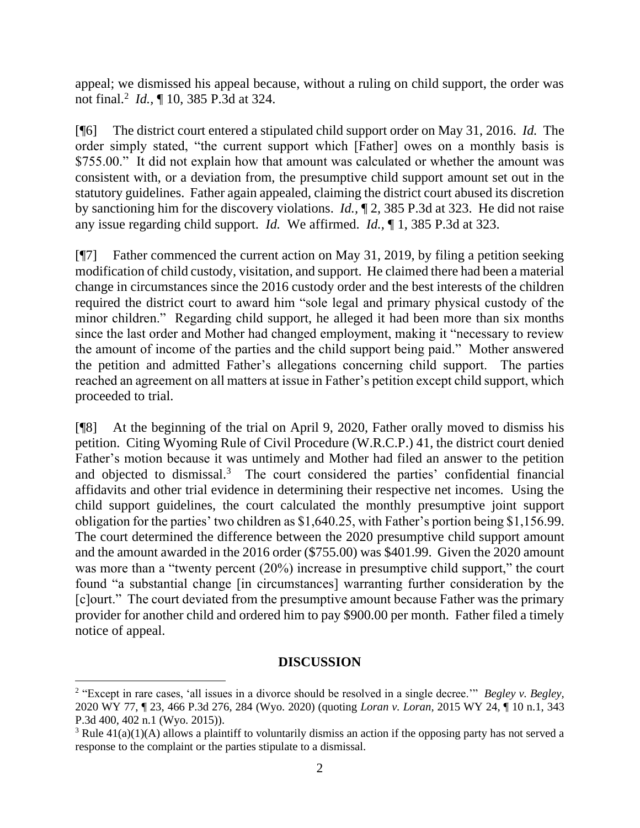appeal; we dismissed his appeal because, without a ruling on child support, the order was not final.<sup>2</sup> *Id.,* ¶ 10, 385 P.3d at 324.

[¶6] The district court entered a stipulated child support order on May 31, 2016. *Id.* The order simply stated, "the current support which [Father] owes on a monthly basis is \$755.00." It did not explain how that amount was calculated or whether the amount was consistent with, or a deviation from, the presumptive child support amount set out in the statutory guidelines. Father again appealed, claiming the district court abused its discretion by sanctioning him for the discovery violations. *Id.,* ¶ 2, 385 P.3d at 323. He did not raise any issue regarding child support. *Id.* We affirmed. *Id.,* ¶ 1, 385 P.3d at 323.

[¶7] Father commenced the current action on May 31, 2019, by filing a petition seeking modification of child custody, visitation, and support. He claimed there had been a material change in circumstances since the 2016 custody order and the best interests of the children required the district court to award him "sole legal and primary physical custody of the minor children." Regarding child support, he alleged it had been more than six months since the last order and Mother had changed employment, making it "necessary to review the amount of income of the parties and the child support being paid." Mother answered the petition and admitted Father's allegations concerning child support. The parties reached an agreement on all matters at issue in Father's petition except child support, which proceeded to trial.

[¶8] At the beginning of the trial on April 9, 2020, Father orally moved to dismiss his petition. Citing Wyoming Rule of Civil Procedure (W.R.C.P.) 41, the district court denied Father's motion because it was untimely and Mother had filed an answer to the petition and objected to dismissal.<sup>3</sup> The court considered the parties' confidential financial affidavits and other trial evidence in determining their respective net incomes. Using the child support guidelines, the court calculated the monthly presumptive joint support obligation for the parties' two children as \$1,640.25, with Father's portion being \$1,156.99. The court determined the difference between the 2020 presumptive child support amount and the amount awarded in the 2016 order (\$755.00) was \$401.99. Given the 2020 amount was more than a "twenty percent (20%) increase in presumptive child support," the court found "a substantial change [in circumstances] warranting further consideration by the [c]ourt." The court deviated from the presumptive amount because Father was the primary provider for another child and ordered him to pay \$900.00 per month. Father filed a timely notice of appeal.

### **DISCUSSION**

<sup>2</sup> "Except in rare cases, 'all issues in a divorce should be resolved in a single decree.'" *Begley v. Begley,*  2020 WY 77, ¶ 23, 466 P.3d 276, 284 (Wyo. 2020) (quoting *Loran v. Loran,* 2015 WY 24, ¶ 10 n.1, 343 P.3d 400, 402 n.1 (Wyo. 2015)).

<sup>&</sup>lt;sup>3</sup> Rule  $41(a)(1)(A)$  allows a plaintiff to voluntarily dismiss an action if the opposing party has not served a response to the complaint or the parties stipulate to a dismissal.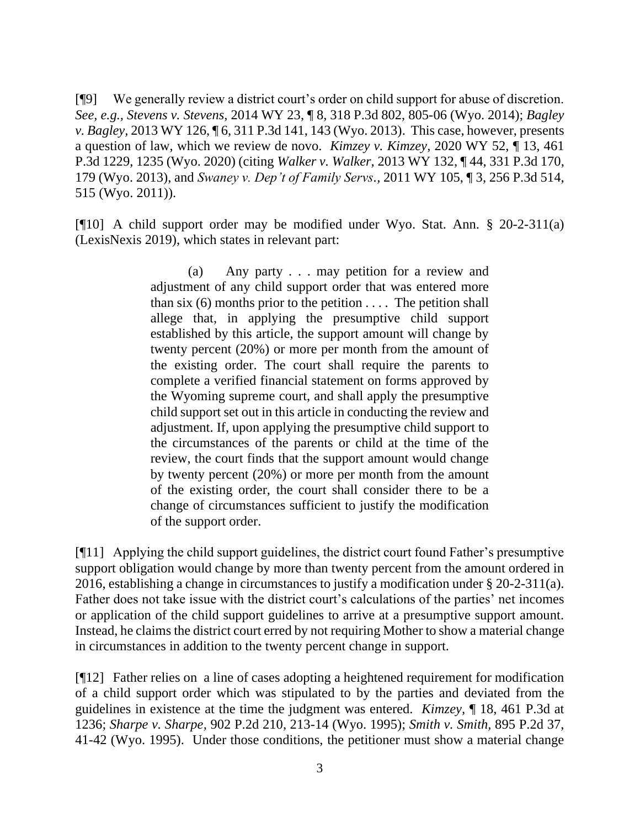[¶9] We generally review a district court's order on child support for abuse of discretion. *See, e.g., Stevens v. Stevens,* 2014 WY 23, ¶ 8, 318 P.3d 802, 805-06 (Wyo. 2014); *Bagley v. Bagley,* 2013 WY 126, ¶ 6, 311 P.3d 141, 143 (Wyo. 2013). This case, however, presents a question of law, which we review de novo. *Kimzey v. Kimzey,* 2020 WY 52, ¶ 13, 461 P.3d 1229, 1235 (Wyo. 2020) (citing *Walker v. Walker,* 2013 WY 132, ¶ 44, 331 P.3d 170, 179 (Wyo. 2013), and *Swaney v. Dep't of Family Servs.,* 2011 WY 105, ¶ 3, 256 P.3d 514, 515 (Wyo. 2011)).

[¶10] A child support order may be modified under Wyo. Stat. Ann. § 20-2-311(a) (LexisNexis 2019), which states in relevant part:

> (a) Any party . . . may petition for a review and adjustment of any child support order that was entered more than six  $(6)$  months prior to the petition .... The petition shall allege that, in applying the presumptive child support established by this article, the support amount will change by twenty percent (20%) or more per month from the amount of the existing order. The court shall require the parents to complete a verified financial statement on forms approved by the Wyoming supreme court, and shall apply the presumptive child support set out in this article in conducting the review and adjustment. If, upon applying the presumptive child support to the circumstances of the parents or child at the time of the review, the court finds that the support amount would change by twenty percent (20%) or more per month from the amount of the existing order, the court shall consider there to be a change of circumstances sufficient to justify the modification of the support order.

[¶11] Applying the child support guidelines, the district court found Father's presumptive support obligation would change by more than twenty percent from the amount ordered in 2016, establishing a change in circumstances to justify a modification under § 20-2-311(a). Father does not take issue with the district court's calculations of the parties' net incomes or application of the child support guidelines to arrive at a presumptive support amount. Instead, he claims the district court erred by not requiring Mother to show a material change in circumstances in addition to the twenty percent change in support.

[¶12] Father relies on a line of cases adopting a heightened requirement for modification of a child support order which was stipulated to by the parties and deviated from the guidelines in existence at the time the judgment was entered. *Kimzey,* ¶ 18, 461 P.3d at 1236; *Sharpe v. Sharpe,* 902 P.2d 210, 213-14 (Wyo. 1995); *Smith v. Smith,* 895 P.2d 37, 41-42 (Wyo. 1995). Under those conditions, the petitioner must show a material change